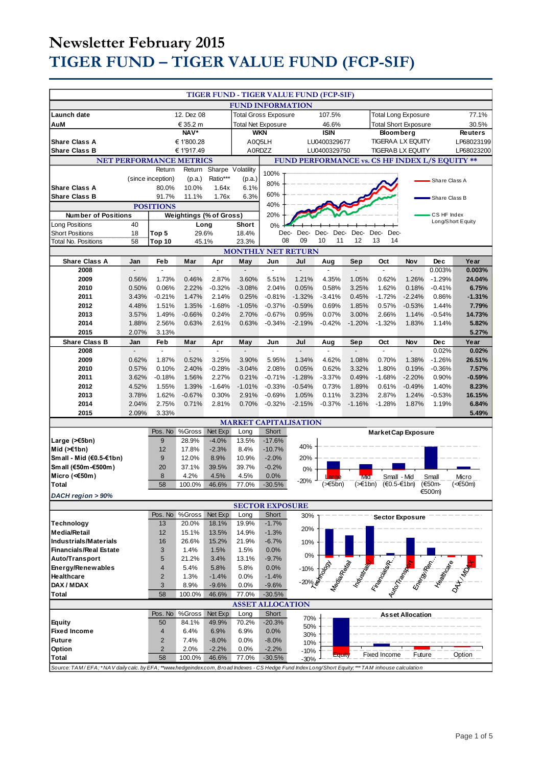| <b>FUND INFORMATION</b><br>Launch date<br>12. Dez 08<br><b>Total Gross Exposure</b><br>107.5%<br>77.1%<br><b>Total Long Exposure</b><br>AuM<br>€ 35.2 m<br><b>Total Net Exposure</b><br>46.6%<br><b>Total Short Exposure</b><br>30.5%<br>NAV*<br><b>WKN</b><br><b>ISIN</b><br><b>Reuters</b><br><b>Bloom berg</b><br><b>TIGERAA LX EQUITY</b><br><b>Share Class A</b><br>€1'800.28<br>A0Q5LH<br>LU0400329677<br>LP68023199<br><b>Share Class B</b><br>A0RDZZ<br>LP68023200<br>€ 1'917.49<br>LU0400329750<br>TIGERAB LX EQUITY<br>FUND PERFORMANCE vs. CS HF INDEX L/S EQUITY **<br><b>NET PERFORMANCE METRICS</b><br>Return<br>Return<br>Sharpe Volatility<br>100%<br>(since inception)<br>Ratio***<br>(p.a.)<br>(p.a.)<br>Share Class A<br>80%<br><b>Share Class A</b><br>80.0%<br>10.0%<br>1.64x<br>6.1%<br>60%<br><b>Share Class B</b><br>91.7%<br>11.1%<br>1.76x<br>6.3%<br>Share Class B<br>40%<br><b>POSITIONS</b><br>20%<br><b>Weightings (% of Gross)</b><br>CS HF Index<br><b>Number of Positions</b><br>Long/Short Equity<br>Long Positions<br>40<br>Short<br>Long<br>0%<br>Dec-<br><b>Short Positions</b><br>18<br>Top 5<br>29.6%<br>18.4%<br>Dec-<br>Dec-<br>Dec-<br>Dec-<br>Dec-<br>Dec-<br>13<br>08<br>09<br>10<br>11<br>12<br>14<br>58<br>Top 10<br>45.1%<br>23.3%<br><b>Total No. Positions</b><br><b>MONTHLY NET RETURN</b><br><b>Share Class A</b><br>Feb<br>Year<br>Jan<br>Mar<br>Apr<br>May<br>Jun<br>Jul<br>Aug<br>Sep<br>Oct<br>Nov<br>Dec<br>2008<br>0.003%<br>0.003%<br>÷,<br>4.35%<br>2009<br>0.56%<br>1.73%<br>0.46%<br>2.87%<br>3.60%<br>5.51%<br>1.21%<br>1.05%<br>0.62%<br>1.26%<br>$-1.29%$<br>24.04%<br>2010<br>0.50%<br>0.06%<br>2.22%<br>$-0.32%$<br>$-3.08%$<br>2.04%<br>0.05%<br>0.58%<br>3.25%<br>1.62%<br>0.18%<br>$-0.41%$<br>6.75%<br>2011<br>3.43%<br>$-0.21%$<br>1.47%<br>2.14%<br>0.25%<br>$-0.81%$<br>$-1.32%$<br>$-3.41%$<br>0.45%<br>$-1.72%$<br>$-2.24%$<br>0.86%<br>$-1.31%$<br>2012<br>4.48%<br>1.51%<br>1.35%<br>$-1.68%$<br>$-1.05%$<br>$-0.37%$<br>$-0.59%$<br>0.69%<br>1.85%<br>0.57%<br>$-0.53%$<br>1.44%<br>7.79%<br>2013<br>1.49%<br>$-0.66%$<br>0.24%<br>2.70%<br>$-0.67%$<br>0.95%<br>0.07%<br>3.00%<br>2.66%<br>1.14%<br>$-0.54%$<br>14.73%<br>3.57%<br>2014<br>1.88%<br>2.56%<br>0.63%<br>2.61%<br>0.63%<br>$-0.34%$<br>$-2.19%$<br>$-0.42%$<br>$-1.20%$<br>$-1.32%$<br>1.83%<br>1.14%<br>5.82%<br>2015<br>2.07%<br>5.27%<br>3.13%<br><b>Share Class B</b><br>Year<br>Feb<br>May<br>Jul<br>Aug<br>Nov<br>Jan<br>Mar<br>Apr<br>Jun<br>Sep<br>Oct<br><b>Dec</b><br>2008<br>$\overline{a}$<br>0.02%<br>0.02%<br>$\mathbf{r}$<br>$\mathbf{r}$<br>$\overline{\phantom{a}}$<br>$\overline{a}$<br>$\overline{\phantom{a}}$<br>$\mathbb{Z}^2$<br>$\overline{\phantom{a}}$<br>ä,<br>$\frac{1}{2}$<br>2009<br>0.62%<br>1.87%<br>0.52%<br>3.25%<br>3.90%<br>5.95%<br>1.34%<br>4.62%<br>1.08%<br>0.70%<br>1.38%<br>$-1.26%$<br>26.51%<br>2010<br>0.57%<br>0.10%<br>2.40%<br>$-0.28%$<br>$-3.04%$<br>2.08%<br>0.05%<br>0.62%<br>3.32%<br>1.80%<br>0.19%<br>$-0.36%$<br>7.57%<br>2011<br>3.62%<br>$-0.18%$<br>1.56%<br>2.27%<br>0.21%<br>$-0.71%$<br>$-1.28%$<br>$-3.37%$<br>0.49%<br>$-1.68%$<br>$-2.20%$<br>0.90%<br>$-0.59%$<br>1.39%<br>2012<br>4.52%<br>1.55%<br>$-1.64%$<br>$-1.01%$<br>$-0.33%$<br>$-0.54%$<br>0.73%<br>1.89%<br>0.61%<br>$-0.49%$<br>1.40%<br>8.23%<br>3.78%<br>1.62%<br>$-0.67%$<br>0.30%<br>2.91%<br>$-0.69%$<br>1.05%<br>0.11%<br>3.23%<br>2.87%<br>1.24%<br>$-0.53%$<br>16.15%<br>2013<br>2014<br>0.71%<br>2.81%<br>$-0.32%$<br>$-2.15%$<br>$-1.28%$<br>6.84%<br>2.04%<br>2.75%<br>0.70%<br>$-0.37%$<br>$-1.16%$<br>1.87%<br>1.19%<br>2.09%<br>3.33%<br>5.49%<br>2015<br><b>MARKET CAPITALISATION</b><br>Short<br>Pos. No<br>%Gross<br>Net Exp<br>Long<br><b>Market Cap Exposure</b><br>9<br>$-17.6%$<br>28.9%<br>$-4.0%$<br>13.5%<br>Large $($ $\leq$ 5bn)<br>40%<br>17.8%<br>8.4%<br>Mid $(\ge 1$ bn)<br>12<br>$-2.3%$<br>$-10.7%$<br>Small - Mid (€0.5-€1bn)<br>9<br>12.0%<br>8.9%<br>10.9%<br>$-2.0%$<br>20%<br>Sm all (€50m-€500m)<br>20<br>37.1%<br>39.5%<br>39.7%<br>$-0.2%$<br>0%<br>8<br>Micro (< $60$ m)<br>4.2%<br>4.5%<br>4.5%<br>0.0%<br>Small - Mid<br>Small<br>Micro<br>Mid<br>$-20%$<br>( <b>5</b> bn)<br>$(\geq 1$ bn)<br>$(60.5 - 61bn)$<br>(€50m-<br>(<€50m)<br>58<br>100.0%<br>46.6%<br>77.0%<br>$-30.5%$<br>Total<br>€500m)<br>DACH region > 90%<br><b>SECTOR EXPOSURE</b><br>Pos. No<br>%Gross<br>Net Exp<br>Long<br>Short<br>30%<br><b>Sector Exposure</b><br>13<br>19.9%<br>$-1.7%$<br><b>Technology</b><br>20.0%<br>18.1%<br>20%<br><b>Media/Retail</b><br>12<br>15.1%<br>13.5%<br>14.9%<br>$-1.3%$<br><b>Industrials/Materials</b><br>16<br>26.6%<br>15.2%<br>21.9%<br>$-6.7%$<br>10%<br><b>Financials/Real Estate</b><br>3<br>1.4%<br>1.5%<br>1.5%<br>0.0%<br>0%<br>Auto/Transport<br>5<br>21.2%<br>13.1%<br>$-9.7%$<br>3.4%<br><b>Contract of the Contract of the Contract of the Contract of the Contract of the Contract of the Contract of the Contract of the Contract of the Contract of the Contract of the Contract of the Contract of the Contract of t</b><br>Energy/Renewables<br>$\overline{4}$<br>5.4%<br>5.8%<br>5.8%<br>0.0%<br>$-10%$<br>Healthcare<br>$\overline{2}$<br>1.3%<br>$-1.4%$<br>0.0%<br>$-1.4%$<br>-20% L<br>DAX / MDAX<br>3<br>8.9%<br>$-9.6%$<br>0.0%<br>$-9.6%$<br><b>Total</b><br>58<br>100.0%<br>46.6%<br>77.0%<br>$-30.5%$<br><b>ASSET ALLOCATION</b><br>Pos. No<br>%Gross<br>Net Exp<br>Long<br>Short<br><b>Asset Allocation</b><br>70%<br>$-20.3%$<br>50<br>84.1%<br>49.9%<br>70.2%<br><b>Equity</b><br>50%<br><b>Fixed Income</b><br>6.9%<br>6.9%<br>0.0%<br>$\overline{4}$<br>6.4%<br>30%<br><b>Future</b><br>$\overline{2}$<br>7.4%<br>$-8.0%$<br>0.0%<br>$-8.0%$<br>10%<br>Option<br>$\overline{2}$<br>2.0%<br>$-2.2%$<br>$-2.2%$<br>0.0%<br>$-10%$<br>Future<br>Fixed Income<br>Option<br>Equity<br>Total<br>58<br>100.0%<br>46.6%<br>77.0%<br>$-30.5%$<br>$-30%$<br>Source: TAM/EFA; *NAV daily calc. by EFA; **www.hedgeindex.com, Broad Indexes - CS Hedge Fund Index Long/Short Equity; *** TAM inhouse calculation |                                         |  |  |  |  |  |  |  |  |  |  |  |  |  |
|----------------------------------------------------------------------------------------------------------------------------------------------------------------------------------------------------------------------------------------------------------------------------------------------------------------------------------------------------------------------------------------------------------------------------------------------------------------------------------------------------------------------------------------------------------------------------------------------------------------------------------------------------------------------------------------------------------------------------------------------------------------------------------------------------------------------------------------------------------------------------------------------------------------------------------------------------------------------------------------------------------------------------------------------------------------------------------------------------------------------------------------------------------------------------------------------------------------------------------------------------------------------------------------------------------------------------------------------------------------------------------------------------------------------------------------------------------------------------------------------------------------------------------------------------------------------------------------------------------------------------------------------------------------------------------------------------------------------------------------------------------------------------------------------------------------------------------------------------------------------------------------------------------------------------------------------------------------------------------------------------------------------------------------------------------------------------------------------------------------------------------------------------------------------------------------------------------------------------------------------------------------------------------------------------------------------------------------------------------------------------------------------------------------------------------------------------------------------------------------------------------------------------------------------------------------------------------------------------------------------------------------------------------------------------------------------------------------------------------------------------------------------------------------------------------------------------------------------------------------------------------------------------------------------------------------------------------------------------------------------------------------------------------------------------------------------------------------------------------------------------------------------------------------------------------------------------------------------------------------------------------------------------------------------------------------------------------------------------------------------------------------------------------------------------------------------------------------------------------------------------------------------------------------------------------------------------------------------------------------------------------------------------------------------------------------------------------------------------------------------------------------------------------------------------------------------------------------------------------------------------------------------------------------------------------------------------------------------------------------------------------------------------------------------------------------------------------------------------------------------------------------------------------------------------------------------------------------------------------------------------------------------------------------------------------------------------------------------------------------------------------------------------------------------------------------------------------------------------------------------------------------------------------------------------------------------------------------------------------------------------------------------------------------------------------------------------------------------------------------------------------------------------------------------------------------------------------------------------------------------------------------------------------------------------------------------------------------------------------------------------------------------------------------------------------------------------------------------------------------------------------------------------------------------------------------------------------------------------------------------------------------------------------------------------------------------------------------------------------------------------------------------------------------------------------------------------------------------------------------------------------------------------------------------------------------------------------------------------------------------------------------------------------------------------------------------------------------------------------------------------------------------------------------------------------------------------------------------------------------------------------------------------------------------------------------------------------------------------------------------------------------------------------------------------------------------|-----------------------------------------|--|--|--|--|--|--|--|--|--|--|--|--|--|
|                                                                                                                                                                                                                                                                                                                                                                                                                                                                                                                                                                                                                                                                                                                                                                                                                                                                                                                                                                                                                                                                                                                                                                                                                                                                                                                                                                                                                                                                                                                                                                                                                                                                                                                                                                                                                                                                                                                                                                                                                                                                                                                                                                                                                                                                                                                                                                                                                                                                                                                                                                                                                                                                                                                                                                                                                                                                                                                                                                                                                                                                                                                                                                                                                                                                                                                                                                                                                                                                                                                                                                                                                                                                                                                                                                                                                                                                                                                                                                                                                                                                                                                                                                                                                                                                                                                                                                                                                                                                                                                                                                                                                                                                                                                                                                                                                                                                                                                                                                                                                                                                                                                                                                                                                                                                                                                                                                                                                                                                                                                                                                                                                                                                                                                                                                                                                                                                                                                                                                                                                                                                      | TIGER FUND - TIGER VALUE FUND (FCP-SIF) |  |  |  |  |  |  |  |  |  |  |  |  |  |
|                                                                                                                                                                                                                                                                                                                                                                                                                                                                                                                                                                                                                                                                                                                                                                                                                                                                                                                                                                                                                                                                                                                                                                                                                                                                                                                                                                                                                                                                                                                                                                                                                                                                                                                                                                                                                                                                                                                                                                                                                                                                                                                                                                                                                                                                                                                                                                                                                                                                                                                                                                                                                                                                                                                                                                                                                                                                                                                                                                                                                                                                                                                                                                                                                                                                                                                                                                                                                                                                                                                                                                                                                                                                                                                                                                                                                                                                                                                                                                                                                                                                                                                                                                                                                                                                                                                                                                                                                                                                                                                                                                                                                                                                                                                                                                                                                                                                                                                                                                                                                                                                                                                                                                                                                                                                                                                                                                                                                                                                                                                                                                                                                                                                                                                                                                                                                                                                                                                                                                                                                                                                      |                                         |  |  |  |  |  |  |  |  |  |  |  |  |  |
|                                                                                                                                                                                                                                                                                                                                                                                                                                                                                                                                                                                                                                                                                                                                                                                                                                                                                                                                                                                                                                                                                                                                                                                                                                                                                                                                                                                                                                                                                                                                                                                                                                                                                                                                                                                                                                                                                                                                                                                                                                                                                                                                                                                                                                                                                                                                                                                                                                                                                                                                                                                                                                                                                                                                                                                                                                                                                                                                                                                                                                                                                                                                                                                                                                                                                                                                                                                                                                                                                                                                                                                                                                                                                                                                                                                                                                                                                                                                                                                                                                                                                                                                                                                                                                                                                                                                                                                                                                                                                                                                                                                                                                                                                                                                                                                                                                                                                                                                                                                                                                                                                                                                                                                                                                                                                                                                                                                                                                                                                                                                                                                                                                                                                                                                                                                                                                                                                                                                                                                                                                                                      |                                         |  |  |  |  |  |  |  |  |  |  |  |  |  |
|                                                                                                                                                                                                                                                                                                                                                                                                                                                                                                                                                                                                                                                                                                                                                                                                                                                                                                                                                                                                                                                                                                                                                                                                                                                                                                                                                                                                                                                                                                                                                                                                                                                                                                                                                                                                                                                                                                                                                                                                                                                                                                                                                                                                                                                                                                                                                                                                                                                                                                                                                                                                                                                                                                                                                                                                                                                                                                                                                                                                                                                                                                                                                                                                                                                                                                                                                                                                                                                                                                                                                                                                                                                                                                                                                                                                                                                                                                                                                                                                                                                                                                                                                                                                                                                                                                                                                                                                                                                                                                                                                                                                                                                                                                                                                                                                                                                                                                                                                                                                                                                                                                                                                                                                                                                                                                                                                                                                                                                                                                                                                                                                                                                                                                                                                                                                                                                                                                                                                                                                                                                                      |                                         |  |  |  |  |  |  |  |  |  |  |  |  |  |
|                                                                                                                                                                                                                                                                                                                                                                                                                                                                                                                                                                                                                                                                                                                                                                                                                                                                                                                                                                                                                                                                                                                                                                                                                                                                                                                                                                                                                                                                                                                                                                                                                                                                                                                                                                                                                                                                                                                                                                                                                                                                                                                                                                                                                                                                                                                                                                                                                                                                                                                                                                                                                                                                                                                                                                                                                                                                                                                                                                                                                                                                                                                                                                                                                                                                                                                                                                                                                                                                                                                                                                                                                                                                                                                                                                                                                                                                                                                                                                                                                                                                                                                                                                                                                                                                                                                                                                                                                                                                                                                                                                                                                                                                                                                                                                                                                                                                                                                                                                                                                                                                                                                                                                                                                                                                                                                                                                                                                                                                                                                                                                                                                                                                                                                                                                                                                                                                                                                                                                                                                                                                      |                                         |  |  |  |  |  |  |  |  |  |  |  |  |  |
|                                                                                                                                                                                                                                                                                                                                                                                                                                                                                                                                                                                                                                                                                                                                                                                                                                                                                                                                                                                                                                                                                                                                                                                                                                                                                                                                                                                                                                                                                                                                                                                                                                                                                                                                                                                                                                                                                                                                                                                                                                                                                                                                                                                                                                                                                                                                                                                                                                                                                                                                                                                                                                                                                                                                                                                                                                                                                                                                                                                                                                                                                                                                                                                                                                                                                                                                                                                                                                                                                                                                                                                                                                                                                                                                                                                                                                                                                                                                                                                                                                                                                                                                                                                                                                                                                                                                                                                                                                                                                                                                                                                                                                                                                                                                                                                                                                                                                                                                                                                                                                                                                                                                                                                                                                                                                                                                                                                                                                                                                                                                                                                                                                                                                                                                                                                                                                                                                                                                                                                                                                                                      |                                         |  |  |  |  |  |  |  |  |  |  |  |  |  |
|                                                                                                                                                                                                                                                                                                                                                                                                                                                                                                                                                                                                                                                                                                                                                                                                                                                                                                                                                                                                                                                                                                                                                                                                                                                                                                                                                                                                                                                                                                                                                                                                                                                                                                                                                                                                                                                                                                                                                                                                                                                                                                                                                                                                                                                                                                                                                                                                                                                                                                                                                                                                                                                                                                                                                                                                                                                                                                                                                                                                                                                                                                                                                                                                                                                                                                                                                                                                                                                                                                                                                                                                                                                                                                                                                                                                                                                                                                                                                                                                                                                                                                                                                                                                                                                                                                                                                                                                                                                                                                                                                                                                                                                                                                                                                                                                                                                                                                                                                                                                                                                                                                                                                                                                                                                                                                                                                                                                                                                                                                                                                                                                                                                                                                                                                                                                                                                                                                                                                                                                                                                                      |                                         |  |  |  |  |  |  |  |  |  |  |  |  |  |
|                                                                                                                                                                                                                                                                                                                                                                                                                                                                                                                                                                                                                                                                                                                                                                                                                                                                                                                                                                                                                                                                                                                                                                                                                                                                                                                                                                                                                                                                                                                                                                                                                                                                                                                                                                                                                                                                                                                                                                                                                                                                                                                                                                                                                                                                                                                                                                                                                                                                                                                                                                                                                                                                                                                                                                                                                                                                                                                                                                                                                                                                                                                                                                                                                                                                                                                                                                                                                                                                                                                                                                                                                                                                                                                                                                                                                                                                                                                                                                                                                                                                                                                                                                                                                                                                                                                                                                                                                                                                                                                                                                                                                                                                                                                                                                                                                                                                                                                                                                                                                                                                                                                                                                                                                                                                                                                                                                                                                                                                                                                                                                                                                                                                                                                                                                                                                                                                                                                                                                                                                                                                      |                                         |  |  |  |  |  |  |  |  |  |  |  |  |  |
|                                                                                                                                                                                                                                                                                                                                                                                                                                                                                                                                                                                                                                                                                                                                                                                                                                                                                                                                                                                                                                                                                                                                                                                                                                                                                                                                                                                                                                                                                                                                                                                                                                                                                                                                                                                                                                                                                                                                                                                                                                                                                                                                                                                                                                                                                                                                                                                                                                                                                                                                                                                                                                                                                                                                                                                                                                                                                                                                                                                                                                                                                                                                                                                                                                                                                                                                                                                                                                                                                                                                                                                                                                                                                                                                                                                                                                                                                                                                                                                                                                                                                                                                                                                                                                                                                                                                                                                                                                                                                                                                                                                                                                                                                                                                                                                                                                                                                                                                                                                                                                                                                                                                                                                                                                                                                                                                                                                                                                                                                                                                                                                                                                                                                                                                                                                                                                                                                                                                                                                                                                                                      |                                         |  |  |  |  |  |  |  |  |  |  |  |  |  |
|                                                                                                                                                                                                                                                                                                                                                                                                                                                                                                                                                                                                                                                                                                                                                                                                                                                                                                                                                                                                                                                                                                                                                                                                                                                                                                                                                                                                                                                                                                                                                                                                                                                                                                                                                                                                                                                                                                                                                                                                                                                                                                                                                                                                                                                                                                                                                                                                                                                                                                                                                                                                                                                                                                                                                                                                                                                                                                                                                                                                                                                                                                                                                                                                                                                                                                                                                                                                                                                                                                                                                                                                                                                                                                                                                                                                                                                                                                                                                                                                                                                                                                                                                                                                                                                                                                                                                                                                                                                                                                                                                                                                                                                                                                                                                                                                                                                                                                                                                                                                                                                                                                                                                                                                                                                                                                                                                                                                                                                                                                                                                                                                                                                                                                                                                                                                                                                                                                                                                                                                                                                                      |                                         |  |  |  |  |  |  |  |  |  |  |  |  |  |
|                                                                                                                                                                                                                                                                                                                                                                                                                                                                                                                                                                                                                                                                                                                                                                                                                                                                                                                                                                                                                                                                                                                                                                                                                                                                                                                                                                                                                                                                                                                                                                                                                                                                                                                                                                                                                                                                                                                                                                                                                                                                                                                                                                                                                                                                                                                                                                                                                                                                                                                                                                                                                                                                                                                                                                                                                                                                                                                                                                                                                                                                                                                                                                                                                                                                                                                                                                                                                                                                                                                                                                                                                                                                                                                                                                                                                                                                                                                                                                                                                                                                                                                                                                                                                                                                                                                                                                                                                                                                                                                                                                                                                                                                                                                                                                                                                                                                                                                                                                                                                                                                                                                                                                                                                                                                                                                                                                                                                                                                                                                                                                                                                                                                                                                                                                                                                                                                                                                                                                                                                                                                      |                                         |  |  |  |  |  |  |  |  |  |  |  |  |  |
|                                                                                                                                                                                                                                                                                                                                                                                                                                                                                                                                                                                                                                                                                                                                                                                                                                                                                                                                                                                                                                                                                                                                                                                                                                                                                                                                                                                                                                                                                                                                                                                                                                                                                                                                                                                                                                                                                                                                                                                                                                                                                                                                                                                                                                                                                                                                                                                                                                                                                                                                                                                                                                                                                                                                                                                                                                                                                                                                                                                                                                                                                                                                                                                                                                                                                                                                                                                                                                                                                                                                                                                                                                                                                                                                                                                                                                                                                                                                                                                                                                                                                                                                                                                                                                                                                                                                                                                                                                                                                                                                                                                                                                                                                                                                                                                                                                                                                                                                                                                                                                                                                                                                                                                                                                                                                                                                                                                                                                                                                                                                                                                                                                                                                                                                                                                                                                                                                                                                                                                                                                                                      |                                         |  |  |  |  |  |  |  |  |  |  |  |  |  |
|                                                                                                                                                                                                                                                                                                                                                                                                                                                                                                                                                                                                                                                                                                                                                                                                                                                                                                                                                                                                                                                                                                                                                                                                                                                                                                                                                                                                                                                                                                                                                                                                                                                                                                                                                                                                                                                                                                                                                                                                                                                                                                                                                                                                                                                                                                                                                                                                                                                                                                                                                                                                                                                                                                                                                                                                                                                                                                                                                                                                                                                                                                                                                                                                                                                                                                                                                                                                                                                                                                                                                                                                                                                                                                                                                                                                                                                                                                                                                                                                                                                                                                                                                                                                                                                                                                                                                                                                                                                                                                                                                                                                                                                                                                                                                                                                                                                                                                                                                                                                                                                                                                                                                                                                                                                                                                                                                                                                                                                                                                                                                                                                                                                                                                                                                                                                                                                                                                                                                                                                                                                                      |                                         |  |  |  |  |  |  |  |  |  |  |  |  |  |
|                                                                                                                                                                                                                                                                                                                                                                                                                                                                                                                                                                                                                                                                                                                                                                                                                                                                                                                                                                                                                                                                                                                                                                                                                                                                                                                                                                                                                                                                                                                                                                                                                                                                                                                                                                                                                                                                                                                                                                                                                                                                                                                                                                                                                                                                                                                                                                                                                                                                                                                                                                                                                                                                                                                                                                                                                                                                                                                                                                                                                                                                                                                                                                                                                                                                                                                                                                                                                                                                                                                                                                                                                                                                                                                                                                                                                                                                                                                                                                                                                                                                                                                                                                                                                                                                                                                                                                                                                                                                                                                                                                                                                                                                                                                                                                                                                                                                                                                                                                                                                                                                                                                                                                                                                                                                                                                                                                                                                                                                                                                                                                                                                                                                                                                                                                                                                                                                                                                                                                                                                                                                      |                                         |  |  |  |  |  |  |  |  |  |  |  |  |  |
|                                                                                                                                                                                                                                                                                                                                                                                                                                                                                                                                                                                                                                                                                                                                                                                                                                                                                                                                                                                                                                                                                                                                                                                                                                                                                                                                                                                                                                                                                                                                                                                                                                                                                                                                                                                                                                                                                                                                                                                                                                                                                                                                                                                                                                                                                                                                                                                                                                                                                                                                                                                                                                                                                                                                                                                                                                                                                                                                                                                                                                                                                                                                                                                                                                                                                                                                                                                                                                                                                                                                                                                                                                                                                                                                                                                                                                                                                                                                                                                                                                                                                                                                                                                                                                                                                                                                                                                                                                                                                                                                                                                                                                                                                                                                                                                                                                                                                                                                                                                                                                                                                                                                                                                                                                                                                                                                                                                                                                                                                                                                                                                                                                                                                                                                                                                                                                                                                                                                                                                                                                                                      |                                         |  |  |  |  |  |  |  |  |  |  |  |  |  |
|                                                                                                                                                                                                                                                                                                                                                                                                                                                                                                                                                                                                                                                                                                                                                                                                                                                                                                                                                                                                                                                                                                                                                                                                                                                                                                                                                                                                                                                                                                                                                                                                                                                                                                                                                                                                                                                                                                                                                                                                                                                                                                                                                                                                                                                                                                                                                                                                                                                                                                                                                                                                                                                                                                                                                                                                                                                                                                                                                                                                                                                                                                                                                                                                                                                                                                                                                                                                                                                                                                                                                                                                                                                                                                                                                                                                                                                                                                                                                                                                                                                                                                                                                                                                                                                                                                                                                                                                                                                                                                                                                                                                                                                                                                                                                                                                                                                                                                                                                                                                                                                                                                                                                                                                                                                                                                                                                                                                                                                                                                                                                                                                                                                                                                                                                                                                                                                                                                                                                                                                                                                                      |                                         |  |  |  |  |  |  |  |  |  |  |  |  |  |
|                                                                                                                                                                                                                                                                                                                                                                                                                                                                                                                                                                                                                                                                                                                                                                                                                                                                                                                                                                                                                                                                                                                                                                                                                                                                                                                                                                                                                                                                                                                                                                                                                                                                                                                                                                                                                                                                                                                                                                                                                                                                                                                                                                                                                                                                                                                                                                                                                                                                                                                                                                                                                                                                                                                                                                                                                                                                                                                                                                                                                                                                                                                                                                                                                                                                                                                                                                                                                                                                                                                                                                                                                                                                                                                                                                                                                                                                                                                                                                                                                                                                                                                                                                                                                                                                                                                                                                                                                                                                                                                                                                                                                                                                                                                                                                                                                                                                                                                                                                                                                                                                                                                                                                                                                                                                                                                                                                                                                                                                                                                                                                                                                                                                                                                                                                                                                                                                                                                                                                                                                                                                      |                                         |  |  |  |  |  |  |  |  |  |  |  |  |  |
|                                                                                                                                                                                                                                                                                                                                                                                                                                                                                                                                                                                                                                                                                                                                                                                                                                                                                                                                                                                                                                                                                                                                                                                                                                                                                                                                                                                                                                                                                                                                                                                                                                                                                                                                                                                                                                                                                                                                                                                                                                                                                                                                                                                                                                                                                                                                                                                                                                                                                                                                                                                                                                                                                                                                                                                                                                                                                                                                                                                                                                                                                                                                                                                                                                                                                                                                                                                                                                                                                                                                                                                                                                                                                                                                                                                                                                                                                                                                                                                                                                                                                                                                                                                                                                                                                                                                                                                                                                                                                                                                                                                                                                                                                                                                                                                                                                                                                                                                                                                                                                                                                                                                                                                                                                                                                                                                                                                                                                                                                                                                                                                                                                                                                                                                                                                                                                                                                                                                                                                                                                                                      |                                         |  |  |  |  |  |  |  |  |  |  |  |  |  |
|                                                                                                                                                                                                                                                                                                                                                                                                                                                                                                                                                                                                                                                                                                                                                                                                                                                                                                                                                                                                                                                                                                                                                                                                                                                                                                                                                                                                                                                                                                                                                                                                                                                                                                                                                                                                                                                                                                                                                                                                                                                                                                                                                                                                                                                                                                                                                                                                                                                                                                                                                                                                                                                                                                                                                                                                                                                                                                                                                                                                                                                                                                                                                                                                                                                                                                                                                                                                                                                                                                                                                                                                                                                                                                                                                                                                                                                                                                                                                                                                                                                                                                                                                                                                                                                                                                                                                                                                                                                                                                                                                                                                                                                                                                                                                                                                                                                                                                                                                                                                                                                                                                                                                                                                                                                                                                                                                                                                                                                                                                                                                                                                                                                                                                                                                                                                                                                                                                                                                                                                                                                                      |                                         |  |  |  |  |  |  |  |  |  |  |  |  |  |
|                                                                                                                                                                                                                                                                                                                                                                                                                                                                                                                                                                                                                                                                                                                                                                                                                                                                                                                                                                                                                                                                                                                                                                                                                                                                                                                                                                                                                                                                                                                                                                                                                                                                                                                                                                                                                                                                                                                                                                                                                                                                                                                                                                                                                                                                                                                                                                                                                                                                                                                                                                                                                                                                                                                                                                                                                                                                                                                                                                                                                                                                                                                                                                                                                                                                                                                                                                                                                                                                                                                                                                                                                                                                                                                                                                                                                                                                                                                                                                                                                                                                                                                                                                                                                                                                                                                                                                                                                                                                                                                                                                                                                                                                                                                                                                                                                                                                                                                                                                                                                                                                                                                                                                                                                                                                                                                                                                                                                                                                                                                                                                                                                                                                                                                                                                                                                                                                                                                                                                                                                                                                      |                                         |  |  |  |  |  |  |  |  |  |  |  |  |  |
|                                                                                                                                                                                                                                                                                                                                                                                                                                                                                                                                                                                                                                                                                                                                                                                                                                                                                                                                                                                                                                                                                                                                                                                                                                                                                                                                                                                                                                                                                                                                                                                                                                                                                                                                                                                                                                                                                                                                                                                                                                                                                                                                                                                                                                                                                                                                                                                                                                                                                                                                                                                                                                                                                                                                                                                                                                                                                                                                                                                                                                                                                                                                                                                                                                                                                                                                                                                                                                                                                                                                                                                                                                                                                                                                                                                                                                                                                                                                                                                                                                                                                                                                                                                                                                                                                                                                                                                                                                                                                                                                                                                                                                                                                                                                                                                                                                                                                                                                                                                                                                                                                                                                                                                                                                                                                                                                                                                                                                                                                                                                                                                                                                                                                                                                                                                                                                                                                                                                                                                                                                                                      |                                         |  |  |  |  |  |  |  |  |  |  |  |  |  |
|                                                                                                                                                                                                                                                                                                                                                                                                                                                                                                                                                                                                                                                                                                                                                                                                                                                                                                                                                                                                                                                                                                                                                                                                                                                                                                                                                                                                                                                                                                                                                                                                                                                                                                                                                                                                                                                                                                                                                                                                                                                                                                                                                                                                                                                                                                                                                                                                                                                                                                                                                                                                                                                                                                                                                                                                                                                                                                                                                                                                                                                                                                                                                                                                                                                                                                                                                                                                                                                                                                                                                                                                                                                                                                                                                                                                                                                                                                                                                                                                                                                                                                                                                                                                                                                                                                                                                                                                                                                                                                                                                                                                                                                                                                                                                                                                                                                                                                                                                                                                                                                                                                                                                                                                                                                                                                                                                                                                                                                                                                                                                                                                                                                                                                                                                                                                                                                                                                                                                                                                                                                                      |                                         |  |  |  |  |  |  |  |  |  |  |  |  |  |
|                                                                                                                                                                                                                                                                                                                                                                                                                                                                                                                                                                                                                                                                                                                                                                                                                                                                                                                                                                                                                                                                                                                                                                                                                                                                                                                                                                                                                                                                                                                                                                                                                                                                                                                                                                                                                                                                                                                                                                                                                                                                                                                                                                                                                                                                                                                                                                                                                                                                                                                                                                                                                                                                                                                                                                                                                                                                                                                                                                                                                                                                                                                                                                                                                                                                                                                                                                                                                                                                                                                                                                                                                                                                                                                                                                                                                                                                                                                                                                                                                                                                                                                                                                                                                                                                                                                                                                                                                                                                                                                                                                                                                                                                                                                                                                                                                                                                                                                                                                                                                                                                                                                                                                                                                                                                                                                                                                                                                                                                                                                                                                                                                                                                                                                                                                                                                                                                                                                                                                                                                                                                      |                                         |  |  |  |  |  |  |  |  |  |  |  |  |  |
|                                                                                                                                                                                                                                                                                                                                                                                                                                                                                                                                                                                                                                                                                                                                                                                                                                                                                                                                                                                                                                                                                                                                                                                                                                                                                                                                                                                                                                                                                                                                                                                                                                                                                                                                                                                                                                                                                                                                                                                                                                                                                                                                                                                                                                                                                                                                                                                                                                                                                                                                                                                                                                                                                                                                                                                                                                                                                                                                                                                                                                                                                                                                                                                                                                                                                                                                                                                                                                                                                                                                                                                                                                                                                                                                                                                                                                                                                                                                                                                                                                                                                                                                                                                                                                                                                                                                                                                                                                                                                                                                                                                                                                                                                                                                                                                                                                                                                                                                                                                                                                                                                                                                                                                                                                                                                                                                                                                                                                                                                                                                                                                                                                                                                                                                                                                                                                                                                                                                                                                                                                                                      |                                         |  |  |  |  |  |  |  |  |  |  |  |  |  |
|                                                                                                                                                                                                                                                                                                                                                                                                                                                                                                                                                                                                                                                                                                                                                                                                                                                                                                                                                                                                                                                                                                                                                                                                                                                                                                                                                                                                                                                                                                                                                                                                                                                                                                                                                                                                                                                                                                                                                                                                                                                                                                                                                                                                                                                                                                                                                                                                                                                                                                                                                                                                                                                                                                                                                                                                                                                                                                                                                                                                                                                                                                                                                                                                                                                                                                                                                                                                                                                                                                                                                                                                                                                                                                                                                                                                                                                                                                                                                                                                                                                                                                                                                                                                                                                                                                                                                                                                                                                                                                                                                                                                                                                                                                                                                                                                                                                                                                                                                                                                                                                                                                                                                                                                                                                                                                                                                                                                                                                                                                                                                                                                                                                                                                                                                                                                                                                                                                                                                                                                                                                                      |                                         |  |  |  |  |  |  |  |  |  |  |  |  |  |
|                                                                                                                                                                                                                                                                                                                                                                                                                                                                                                                                                                                                                                                                                                                                                                                                                                                                                                                                                                                                                                                                                                                                                                                                                                                                                                                                                                                                                                                                                                                                                                                                                                                                                                                                                                                                                                                                                                                                                                                                                                                                                                                                                                                                                                                                                                                                                                                                                                                                                                                                                                                                                                                                                                                                                                                                                                                                                                                                                                                                                                                                                                                                                                                                                                                                                                                                                                                                                                                                                                                                                                                                                                                                                                                                                                                                                                                                                                                                                                                                                                                                                                                                                                                                                                                                                                                                                                                                                                                                                                                                                                                                                                                                                                                                                                                                                                                                                                                                                                                                                                                                                                                                                                                                                                                                                                                                                                                                                                                                                                                                                                                                                                                                                                                                                                                                                                                                                                                                                                                                                                                                      |                                         |  |  |  |  |  |  |  |  |  |  |  |  |  |
|                                                                                                                                                                                                                                                                                                                                                                                                                                                                                                                                                                                                                                                                                                                                                                                                                                                                                                                                                                                                                                                                                                                                                                                                                                                                                                                                                                                                                                                                                                                                                                                                                                                                                                                                                                                                                                                                                                                                                                                                                                                                                                                                                                                                                                                                                                                                                                                                                                                                                                                                                                                                                                                                                                                                                                                                                                                                                                                                                                                                                                                                                                                                                                                                                                                                                                                                                                                                                                                                                                                                                                                                                                                                                                                                                                                                                                                                                                                                                                                                                                                                                                                                                                                                                                                                                                                                                                                                                                                                                                                                                                                                                                                                                                                                                                                                                                                                                                                                                                                                                                                                                                                                                                                                                                                                                                                                                                                                                                                                                                                                                                                                                                                                                                                                                                                                                                                                                                                                                                                                                                                                      |                                         |  |  |  |  |  |  |  |  |  |  |  |  |  |
|                                                                                                                                                                                                                                                                                                                                                                                                                                                                                                                                                                                                                                                                                                                                                                                                                                                                                                                                                                                                                                                                                                                                                                                                                                                                                                                                                                                                                                                                                                                                                                                                                                                                                                                                                                                                                                                                                                                                                                                                                                                                                                                                                                                                                                                                                                                                                                                                                                                                                                                                                                                                                                                                                                                                                                                                                                                                                                                                                                                                                                                                                                                                                                                                                                                                                                                                                                                                                                                                                                                                                                                                                                                                                                                                                                                                                                                                                                                                                                                                                                                                                                                                                                                                                                                                                                                                                                                                                                                                                                                                                                                                                                                                                                                                                                                                                                                                                                                                                                                                                                                                                                                                                                                                                                                                                                                                                                                                                                                                                                                                                                                                                                                                                                                                                                                                                                                                                                                                                                                                                                                                      |                                         |  |  |  |  |  |  |  |  |  |  |  |  |  |
|                                                                                                                                                                                                                                                                                                                                                                                                                                                                                                                                                                                                                                                                                                                                                                                                                                                                                                                                                                                                                                                                                                                                                                                                                                                                                                                                                                                                                                                                                                                                                                                                                                                                                                                                                                                                                                                                                                                                                                                                                                                                                                                                                                                                                                                                                                                                                                                                                                                                                                                                                                                                                                                                                                                                                                                                                                                                                                                                                                                                                                                                                                                                                                                                                                                                                                                                                                                                                                                                                                                                                                                                                                                                                                                                                                                                                                                                                                                                                                                                                                                                                                                                                                                                                                                                                                                                                                                                                                                                                                                                                                                                                                                                                                                                                                                                                                                                                                                                                                                                                                                                                                                                                                                                                                                                                                                                                                                                                                                                                                                                                                                                                                                                                                                                                                                                                                                                                                                                                                                                                                                                      |                                         |  |  |  |  |  |  |  |  |  |  |  |  |  |
|                                                                                                                                                                                                                                                                                                                                                                                                                                                                                                                                                                                                                                                                                                                                                                                                                                                                                                                                                                                                                                                                                                                                                                                                                                                                                                                                                                                                                                                                                                                                                                                                                                                                                                                                                                                                                                                                                                                                                                                                                                                                                                                                                                                                                                                                                                                                                                                                                                                                                                                                                                                                                                                                                                                                                                                                                                                                                                                                                                                                                                                                                                                                                                                                                                                                                                                                                                                                                                                                                                                                                                                                                                                                                                                                                                                                                                                                                                                                                                                                                                                                                                                                                                                                                                                                                                                                                                                                                                                                                                                                                                                                                                                                                                                                                                                                                                                                                                                                                                                                                                                                                                                                                                                                                                                                                                                                                                                                                                                                                                                                                                                                                                                                                                                                                                                                                                                                                                                                                                                                                                                                      |                                         |  |  |  |  |  |  |  |  |  |  |  |  |  |
|                                                                                                                                                                                                                                                                                                                                                                                                                                                                                                                                                                                                                                                                                                                                                                                                                                                                                                                                                                                                                                                                                                                                                                                                                                                                                                                                                                                                                                                                                                                                                                                                                                                                                                                                                                                                                                                                                                                                                                                                                                                                                                                                                                                                                                                                                                                                                                                                                                                                                                                                                                                                                                                                                                                                                                                                                                                                                                                                                                                                                                                                                                                                                                                                                                                                                                                                                                                                                                                                                                                                                                                                                                                                                                                                                                                                                                                                                                                                                                                                                                                                                                                                                                                                                                                                                                                                                                                                                                                                                                                                                                                                                                                                                                                                                                                                                                                                                                                                                                                                                                                                                                                                                                                                                                                                                                                                                                                                                                                                                                                                                                                                                                                                                                                                                                                                                                                                                                                                                                                                                                                                      |                                         |  |  |  |  |  |  |  |  |  |  |  |  |  |
|                                                                                                                                                                                                                                                                                                                                                                                                                                                                                                                                                                                                                                                                                                                                                                                                                                                                                                                                                                                                                                                                                                                                                                                                                                                                                                                                                                                                                                                                                                                                                                                                                                                                                                                                                                                                                                                                                                                                                                                                                                                                                                                                                                                                                                                                                                                                                                                                                                                                                                                                                                                                                                                                                                                                                                                                                                                                                                                                                                                                                                                                                                                                                                                                                                                                                                                                                                                                                                                                                                                                                                                                                                                                                                                                                                                                                                                                                                                                                                                                                                                                                                                                                                                                                                                                                                                                                                                                                                                                                                                                                                                                                                                                                                                                                                                                                                                                                                                                                                                                                                                                                                                                                                                                                                                                                                                                                                                                                                                                                                                                                                                                                                                                                                                                                                                                                                                                                                                                                                                                                                                                      |                                         |  |  |  |  |  |  |  |  |  |  |  |  |  |
|                                                                                                                                                                                                                                                                                                                                                                                                                                                                                                                                                                                                                                                                                                                                                                                                                                                                                                                                                                                                                                                                                                                                                                                                                                                                                                                                                                                                                                                                                                                                                                                                                                                                                                                                                                                                                                                                                                                                                                                                                                                                                                                                                                                                                                                                                                                                                                                                                                                                                                                                                                                                                                                                                                                                                                                                                                                                                                                                                                                                                                                                                                                                                                                                                                                                                                                                                                                                                                                                                                                                                                                                                                                                                                                                                                                                                                                                                                                                                                                                                                                                                                                                                                                                                                                                                                                                                                                                                                                                                                                                                                                                                                                                                                                                                                                                                                                                                                                                                                                                                                                                                                                                                                                                                                                                                                                                                                                                                                                                                                                                                                                                                                                                                                                                                                                                                                                                                                                                                                                                                                                                      |                                         |  |  |  |  |  |  |  |  |  |  |  |  |  |
|                                                                                                                                                                                                                                                                                                                                                                                                                                                                                                                                                                                                                                                                                                                                                                                                                                                                                                                                                                                                                                                                                                                                                                                                                                                                                                                                                                                                                                                                                                                                                                                                                                                                                                                                                                                                                                                                                                                                                                                                                                                                                                                                                                                                                                                                                                                                                                                                                                                                                                                                                                                                                                                                                                                                                                                                                                                                                                                                                                                                                                                                                                                                                                                                                                                                                                                                                                                                                                                                                                                                                                                                                                                                                                                                                                                                                                                                                                                                                                                                                                                                                                                                                                                                                                                                                                                                                                                                                                                                                                                                                                                                                                                                                                                                                                                                                                                                                                                                                                                                                                                                                                                                                                                                                                                                                                                                                                                                                                                                                                                                                                                                                                                                                                                                                                                                                                                                                                                                                                                                                                                                      |                                         |  |  |  |  |  |  |  |  |  |  |  |  |  |
|                                                                                                                                                                                                                                                                                                                                                                                                                                                                                                                                                                                                                                                                                                                                                                                                                                                                                                                                                                                                                                                                                                                                                                                                                                                                                                                                                                                                                                                                                                                                                                                                                                                                                                                                                                                                                                                                                                                                                                                                                                                                                                                                                                                                                                                                                                                                                                                                                                                                                                                                                                                                                                                                                                                                                                                                                                                                                                                                                                                                                                                                                                                                                                                                                                                                                                                                                                                                                                                                                                                                                                                                                                                                                                                                                                                                                                                                                                                                                                                                                                                                                                                                                                                                                                                                                                                                                                                                                                                                                                                                                                                                                                                                                                                                                                                                                                                                                                                                                                                                                                                                                                                                                                                                                                                                                                                                                                                                                                                                                                                                                                                                                                                                                                                                                                                                                                                                                                                                                                                                                                                                      |                                         |  |  |  |  |  |  |  |  |  |  |  |  |  |
|                                                                                                                                                                                                                                                                                                                                                                                                                                                                                                                                                                                                                                                                                                                                                                                                                                                                                                                                                                                                                                                                                                                                                                                                                                                                                                                                                                                                                                                                                                                                                                                                                                                                                                                                                                                                                                                                                                                                                                                                                                                                                                                                                                                                                                                                                                                                                                                                                                                                                                                                                                                                                                                                                                                                                                                                                                                                                                                                                                                                                                                                                                                                                                                                                                                                                                                                                                                                                                                                                                                                                                                                                                                                                                                                                                                                                                                                                                                                                                                                                                                                                                                                                                                                                                                                                                                                                                                                                                                                                                                                                                                                                                                                                                                                                                                                                                                                                                                                                                                                                                                                                                                                                                                                                                                                                                                                                                                                                                                                                                                                                                                                                                                                                                                                                                                                                                                                                                                                                                                                                                                                      |                                         |  |  |  |  |  |  |  |  |  |  |  |  |  |
|                                                                                                                                                                                                                                                                                                                                                                                                                                                                                                                                                                                                                                                                                                                                                                                                                                                                                                                                                                                                                                                                                                                                                                                                                                                                                                                                                                                                                                                                                                                                                                                                                                                                                                                                                                                                                                                                                                                                                                                                                                                                                                                                                                                                                                                                                                                                                                                                                                                                                                                                                                                                                                                                                                                                                                                                                                                                                                                                                                                                                                                                                                                                                                                                                                                                                                                                                                                                                                                                                                                                                                                                                                                                                                                                                                                                                                                                                                                                                                                                                                                                                                                                                                                                                                                                                                                                                                                                                                                                                                                                                                                                                                                                                                                                                                                                                                                                                                                                                                                                                                                                                                                                                                                                                                                                                                                                                                                                                                                                                                                                                                                                                                                                                                                                                                                                                                                                                                                                                                                                                                                                      |                                         |  |  |  |  |  |  |  |  |  |  |  |  |  |
|                                                                                                                                                                                                                                                                                                                                                                                                                                                                                                                                                                                                                                                                                                                                                                                                                                                                                                                                                                                                                                                                                                                                                                                                                                                                                                                                                                                                                                                                                                                                                                                                                                                                                                                                                                                                                                                                                                                                                                                                                                                                                                                                                                                                                                                                                                                                                                                                                                                                                                                                                                                                                                                                                                                                                                                                                                                                                                                                                                                                                                                                                                                                                                                                                                                                                                                                                                                                                                                                                                                                                                                                                                                                                                                                                                                                                                                                                                                                                                                                                                                                                                                                                                                                                                                                                                                                                                                                                                                                                                                                                                                                                                                                                                                                                                                                                                                                                                                                                                                                                                                                                                                                                                                                                                                                                                                                                                                                                                                                                                                                                                                                                                                                                                                                                                                                                                                                                                                                                                                                                                                                      |                                         |  |  |  |  |  |  |  |  |  |  |  |  |  |
|                                                                                                                                                                                                                                                                                                                                                                                                                                                                                                                                                                                                                                                                                                                                                                                                                                                                                                                                                                                                                                                                                                                                                                                                                                                                                                                                                                                                                                                                                                                                                                                                                                                                                                                                                                                                                                                                                                                                                                                                                                                                                                                                                                                                                                                                                                                                                                                                                                                                                                                                                                                                                                                                                                                                                                                                                                                                                                                                                                                                                                                                                                                                                                                                                                                                                                                                                                                                                                                                                                                                                                                                                                                                                                                                                                                                                                                                                                                                                                                                                                                                                                                                                                                                                                                                                                                                                                                                                                                                                                                                                                                                                                                                                                                                                                                                                                                                                                                                                                                                                                                                                                                                                                                                                                                                                                                                                                                                                                                                                                                                                                                                                                                                                                                                                                                                                                                                                                                                                                                                                                                                      |                                         |  |  |  |  |  |  |  |  |  |  |  |  |  |
|                                                                                                                                                                                                                                                                                                                                                                                                                                                                                                                                                                                                                                                                                                                                                                                                                                                                                                                                                                                                                                                                                                                                                                                                                                                                                                                                                                                                                                                                                                                                                                                                                                                                                                                                                                                                                                                                                                                                                                                                                                                                                                                                                                                                                                                                                                                                                                                                                                                                                                                                                                                                                                                                                                                                                                                                                                                                                                                                                                                                                                                                                                                                                                                                                                                                                                                                                                                                                                                                                                                                                                                                                                                                                                                                                                                                                                                                                                                                                                                                                                                                                                                                                                                                                                                                                                                                                                                                                                                                                                                                                                                                                                                                                                                                                                                                                                                                                                                                                                                                                                                                                                                                                                                                                                                                                                                                                                                                                                                                                                                                                                                                                                                                                                                                                                                                                                                                                                                                                                                                                                                                      |                                         |  |  |  |  |  |  |  |  |  |  |  |  |  |
|                                                                                                                                                                                                                                                                                                                                                                                                                                                                                                                                                                                                                                                                                                                                                                                                                                                                                                                                                                                                                                                                                                                                                                                                                                                                                                                                                                                                                                                                                                                                                                                                                                                                                                                                                                                                                                                                                                                                                                                                                                                                                                                                                                                                                                                                                                                                                                                                                                                                                                                                                                                                                                                                                                                                                                                                                                                                                                                                                                                                                                                                                                                                                                                                                                                                                                                                                                                                                                                                                                                                                                                                                                                                                                                                                                                                                                                                                                                                                                                                                                                                                                                                                                                                                                                                                                                                                                                                                                                                                                                                                                                                                                                                                                                                                                                                                                                                                                                                                                                                                                                                                                                                                                                                                                                                                                                                                                                                                                                                                                                                                                                                                                                                                                                                                                                                                                                                                                                                                                                                                                                                      |                                         |  |  |  |  |  |  |  |  |  |  |  |  |  |
|                                                                                                                                                                                                                                                                                                                                                                                                                                                                                                                                                                                                                                                                                                                                                                                                                                                                                                                                                                                                                                                                                                                                                                                                                                                                                                                                                                                                                                                                                                                                                                                                                                                                                                                                                                                                                                                                                                                                                                                                                                                                                                                                                                                                                                                                                                                                                                                                                                                                                                                                                                                                                                                                                                                                                                                                                                                                                                                                                                                                                                                                                                                                                                                                                                                                                                                                                                                                                                                                                                                                                                                                                                                                                                                                                                                                                                                                                                                                                                                                                                                                                                                                                                                                                                                                                                                                                                                                                                                                                                                                                                                                                                                                                                                                                                                                                                                                                                                                                                                                                                                                                                                                                                                                                                                                                                                                                                                                                                                                                                                                                                                                                                                                                                                                                                                                                                                                                                                                                                                                                                                                      |                                         |  |  |  |  |  |  |  |  |  |  |  |  |  |
|                                                                                                                                                                                                                                                                                                                                                                                                                                                                                                                                                                                                                                                                                                                                                                                                                                                                                                                                                                                                                                                                                                                                                                                                                                                                                                                                                                                                                                                                                                                                                                                                                                                                                                                                                                                                                                                                                                                                                                                                                                                                                                                                                                                                                                                                                                                                                                                                                                                                                                                                                                                                                                                                                                                                                                                                                                                                                                                                                                                                                                                                                                                                                                                                                                                                                                                                                                                                                                                                                                                                                                                                                                                                                                                                                                                                                                                                                                                                                                                                                                                                                                                                                                                                                                                                                                                                                                                                                                                                                                                                                                                                                                                                                                                                                                                                                                                                                                                                                                                                                                                                                                                                                                                                                                                                                                                                                                                                                                                                                                                                                                                                                                                                                                                                                                                                                                                                                                                                                                                                                                                                      |                                         |  |  |  |  |  |  |  |  |  |  |  |  |  |
|                                                                                                                                                                                                                                                                                                                                                                                                                                                                                                                                                                                                                                                                                                                                                                                                                                                                                                                                                                                                                                                                                                                                                                                                                                                                                                                                                                                                                                                                                                                                                                                                                                                                                                                                                                                                                                                                                                                                                                                                                                                                                                                                                                                                                                                                                                                                                                                                                                                                                                                                                                                                                                                                                                                                                                                                                                                                                                                                                                                                                                                                                                                                                                                                                                                                                                                                                                                                                                                                                                                                                                                                                                                                                                                                                                                                                                                                                                                                                                                                                                                                                                                                                                                                                                                                                                                                                                                                                                                                                                                                                                                                                                                                                                                                                                                                                                                                                                                                                                                                                                                                                                                                                                                                                                                                                                                                                                                                                                                                                                                                                                                                                                                                                                                                                                                                                                                                                                                                                                                                                                                                      |                                         |  |  |  |  |  |  |  |  |  |  |  |  |  |
|                                                                                                                                                                                                                                                                                                                                                                                                                                                                                                                                                                                                                                                                                                                                                                                                                                                                                                                                                                                                                                                                                                                                                                                                                                                                                                                                                                                                                                                                                                                                                                                                                                                                                                                                                                                                                                                                                                                                                                                                                                                                                                                                                                                                                                                                                                                                                                                                                                                                                                                                                                                                                                                                                                                                                                                                                                                                                                                                                                                                                                                                                                                                                                                                                                                                                                                                                                                                                                                                                                                                                                                                                                                                                                                                                                                                                                                                                                                                                                                                                                                                                                                                                                                                                                                                                                                                                                                                                                                                                                                                                                                                                                                                                                                                                                                                                                                                                                                                                                                                                                                                                                                                                                                                                                                                                                                                                                                                                                                                                                                                                                                                                                                                                                                                                                                                                                                                                                                                                                                                                                                                      |                                         |  |  |  |  |  |  |  |  |  |  |  |  |  |
|                                                                                                                                                                                                                                                                                                                                                                                                                                                                                                                                                                                                                                                                                                                                                                                                                                                                                                                                                                                                                                                                                                                                                                                                                                                                                                                                                                                                                                                                                                                                                                                                                                                                                                                                                                                                                                                                                                                                                                                                                                                                                                                                                                                                                                                                                                                                                                                                                                                                                                                                                                                                                                                                                                                                                                                                                                                                                                                                                                                                                                                                                                                                                                                                                                                                                                                                                                                                                                                                                                                                                                                                                                                                                                                                                                                                                                                                                                                                                                                                                                                                                                                                                                                                                                                                                                                                                                                                                                                                                                                                                                                                                                                                                                                                                                                                                                                                                                                                                                                                                                                                                                                                                                                                                                                                                                                                                                                                                                                                                                                                                                                                                                                                                                                                                                                                                                                                                                                                                                                                                                                                      |                                         |  |  |  |  |  |  |  |  |  |  |  |  |  |
|                                                                                                                                                                                                                                                                                                                                                                                                                                                                                                                                                                                                                                                                                                                                                                                                                                                                                                                                                                                                                                                                                                                                                                                                                                                                                                                                                                                                                                                                                                                                                                                                                                                                                                                                                                                                                                                                                                                                                                                                                                                                                                                                                                                                                                                                                                                                                                                                                                                                                                                                                                                                                                                                                                                                                                                                                                                                                                                                                                                                                                                                                                                                                                                                                                                                                                                                                                                                                                                                                                                                                                                                                                                                                                                                                                                                                                                                                                                                                                                                                                                                                                                                                                                                                                                                                                                                                                                                                                                                                                                                                                                                                                                                                                                                                                                                                                                                                                                                                                                                                                                                                                                                                                                                                                                                                                                                                                                                                                                                                                                                                                                                                                                                                                                                                                                                                                                                                                                                                                                                                                                                      |                                         |  |  |  |  |  |  |  |  |  |  |  |  |  |
|                                                                                                                                                                                                                                                                                                                                                                                                                                                                                                                                                                                                                                                                                                                                                                                                                                                                                                                                                                                                                                                                                                                                                                                                                                                                                                                                                                                                                                                                                                                                                                                                                                                                                                                                                                                                                                                                                                                                                                                                                                                                                                                                                                                                                                                                                                                                                                                                                                                                                                                                                                                                                                                                                                                                                                                                                                                                                                                                                                                                                                                                                                                                                                                                                                                                                                                                                                                                                                                                                                                                                                                                                                                                                                                                                                                                                                                                                                                                                                                                                                                                                                                                                                                                                                                                                                                                                                                                                                                                                                                                                                                                                                                                                                                                                                                                                                                                                                                                                                                                                                                                                                                                                                                                                                                                                                                                                                                                                                                                                                                                                                                                                                                                                                                                                                                                                                                                                                                                                                                                                                                                      |                                         |  |  |  |  |  |  |  |  |  |  |  |  |  |
|                                                                                                                                                                                                                                                                                                                                                                                                                                                                                                                                                                                                                                                                                                                                                                                                                                                                                                                                                                                                                                                                                                                                                                                                                                                                                                                                                                                                                                                                                                                                                                                                                                                                                                                                                                                                                                                                                                                                                                                                                                                                                                                                                                                                                                                                                                                                                                                                                                                                                                                                                                                                                                                                                                                                                                                                                                                                                                                                                                                                                                                                                                                                                                                                                                                                                                                                                                                                                                                                                                                                                                                                                                                                                                                                                                                                                                                                                                                                                                                                                                                                                                                                                                                                                                                                                                                                                                                                                                                                                                                                                                                                                                                                                                                                                                                                                                                                                                                                                                                                                                                                                                                                                                                                                                                                                                                                                                                                                                                                                                                                                                                                                                                                                                                                                                                                                                                                                                                                                                                                                                                                      |                                         |  |  |  |  |  |  |  |  |  |  |  |  |  |
|                                                                                                                                                                                                                                                                                                                                                                                                                                                                                                                                                                                                                                                                                                                                                                                                                                                                                                                                                                                                                                                                                                                                                                                                                                                                                                                                                                                                                                                                                                                                                                                                                                                                                                                                                                                                                                                                                                                                                                                                                                                                                                                                                                                                                                                                                                                                                                                                                                                                                                                                                                                                                                                                                                                                                                                                                                                                                                                                                                                                                                                                                                                                                                                                                                                                                                                                                                                                                                                                                                                                                                                                                                                                                                                                                                                                                                                                                                                                                                                                                                                                                                                                                                                                                                                                                                                                                                                                                                                                                                                                                                                                                                                                                                                                                                                                                                                                                                                                                                                                                                                                                                                                                                                                                                                                                                                                                                                                                                                                                                                                                                                                                                                                                                                                                                                                                                                                                                                                                                                                                                                                      |                                         |  |  |  |  |  |  |  |  |  |  |  |  |  |
|                                                                                                                                                                                                                                                                                                                                                                                                                                                                                                                                                                                                                                                                                                                                                                                                                                                                                                                                                                                                                                                                                                                                                                                                                                                                                                                                                                                                                                                                                                                                                                                                                                                                                                                                                                                                                                                                                                                                                                                                                                                                                                                                                                                                                                                                                                                                                                                                                                                                                                                                                                                                                                                                                                                                                                                                                                                                                                                                                                                                                                                                                                                                                                                                                                                                                                                                                                                                                                                                                                                                                                                                                                                                                                                                                                                                                                                                                                                                                                                                                                                                                                                                                                                                                                                                                                                                                                                                                                                                                                                                                                                                                                                                                                                                                                                                                                                                                                                                                                                                                                                                                                                                                                                                                                                                                                                                                                                                                                                                                                                                                                                                                                                                                                                                                                                                                                                                                                                                                                                                                                                                      |                                         |  |  |  |  |  |  |  |  |  |  |  |  |  |
|                                                                                                                                                                                                                                                                                                                                                                                                                                                                                                                                                                                                                                                                                                                                                                                                                                                                                                                                                                                                                                                                                                                                                                                                                                                                                                                                                                                                                                                                                                                                                                                                                                                                                                                                                                                                                                                                                                                                                                                                                                                                                                                                                                                                                                                                                                                                                                                                                                                                                                                                                                                                                                                                                                                                                                                                                                                                                                                                                                                                                                                                                                                                                                                                                                                                                                                                                                                                                                                                                                                                                                                                                                                                                                                                                                                                                                                                                                                                                                                                                                                                                                                                                                                                                                                                                                                                                                                                                                                                                                                                                                                                                                                                                                                                                                                                                                                                                                                                                                                                                                                                                                                                                                                                                                                                                                                                                                                                                                                                                                                                                                                                                                                                                                                                                                                                                                                                                                                                                                                                                                                                      |                                         |  |  |  |  |  |  |  |  |  |  |  |  |  |
|                                                                                                                                                                                                                                                                                                                                                                                                                                                                                                                                                                                                                                                                                                                                                                                                                                                                                                                                                                                                                                                                                                                                                                                                                                                                                                                                                                                                                                                                                                                                                                                                                                                                                                                                                                                                                                                                                                                                                                                                                                                                                                                                                                                                                                                                                                                                                                                                                                                                                                                                                                                                                                                                                                                                                                                                                                                                                                                                                                                                                                                                                                                                                                                                                                                                                                                                                                                                                                                                                                                                                                                                                                                                                                                                                                                                                                                                                                                                                                                                                                                                                                                                                                                                                                                                                                                                                                                                                                                                                                                                                                                                                                                                                                                                                                                                                                                                                                                                                                                                                                                                                                                                                                                                                                                                                                                                                                                                                                                                                                                                                                                                                                                                                                                                                                                                                                                                                                                                                                                                                                                                      |                                         |  |  |  |  |  |  |  |  |  |  |  |  |  |
|                                                                                                                                                                                                                                                                                                                                                                                                                                                                                                                                                                                                                                                                                                                                                                                                                                                                                                                                                                                                                                                                                                                                                                                                                                                                                                                                                                                                                                                                                                                                                                                                                                                                                                                                                                                                                                                                                                                                                                                                                                                                                                                                                                                                                                                                                                                                                                                                                                                                                                                                                                                                                                                                                                                                                                                                                                                                                                                                                                                                                                                                                                                                                                                                                                                                                                                                                                                                                                                                                                                                                                                                                                                                                                                                                                                                                                                                                                                                                                                                                                                                                                                                                                                                                                                                                                                                                                                                                                                                                                                                                                                                                                                                                                                                                                                                                                                                                                                                                                                                                                                                                                                                                                                                                                                                                                                                                                                                                                                                                                                                                                                                                                                                                                                                                                                                                                                                                                                                                                                                                                                                      |                                         |  |  |  |  |  |  |  |  |  |  |  |  |  |
|                                                                                                                                                                                                                                                                                                                                                                                                                                                                                                                                                                                                                                                                                                                                                                                                                                                                                                                                                                                                                                                                                                                                                                                                                                                                                                                                                                                                                                                                                                                                                                                                                                                                                                                                                                                                                                                                                                                                                                                                                                                                                                                                                                                                                                                                                                                                                                                                                                                                                                                                                                                                                                                                                                                                                                                                                                                                                                                                                                                                                                                                                                                                                                                                                                                                                                                                                                                                                                                                                                                                                                                                                                                                                                                                                                                                                                                                                                                                                                                                                                                                                                                                                                                                                                                                                                                                                                                                                                                                                                                                                                                                                                                                                                                                                                                                                                                                                                                                                                                                                                                                                                                                                                                                                                                                                                                                                                                                                                                                                                                                                                                                                                                                                                                                                                                                                                                                                                                                                                                                                                                                      |                                         |  |  |  |  |  |  |  |  |  |  |  |  |  |
|                                                                                                                                                                                                                                                                                                                                                                                                                                                                                                                                                                                                                                                                                                                                                                                                                                                                                                                                                                                                                                                                                                                                                                                                                                                                                                                                                                                                                                                                                                                                                                                                                                                                                                                                                                                                                                                                                                                                                                                                                                                                                                                                                                                                                                                                                                                                                                                                                                                                                                                                                                                                                                                                                                                                                                                                                                                                                                                                                                                                                                                                                                                                                                                                                                                                                                                                                                                                                                                                                                                                                                                                                                                                                                                                                                                                                                                                                                                                                                                                                                                                                                                                                                                                                                                                                                                                                                                                                                                                                                                                                                                                                                                                                                                                                                                                                                                                                                                                                                                                                                                                                                                                                                                                                                                                                                                                                                                                                                                                                                                                                                                                                                                                                                                                                                                                                                                                                                                                                                                                                                                                      |                                         |  |  |  |  |  |  |  |  |  |  |  |  |  |
|                                                                                                                                                                                                                                                                                                                                                                                                                                                                                                                                                                                                                                                                                                                                                                                                                                                                                                                                                                                                                                                                                                                                                                                                                                                                                                                                                                                                                                                                                                                                                                                                                                                                                                                                                                                                                                                                                                                                                                                                                                                                                                                                                                                                                                                                                                                                                                                                                                                                                                                                                                                                                                                                                                                                                                                                                                                                                                                                                                                                                                                                                                                                                                                                                                                                                                                                                                                                                                                                                                                                                                                                                                                                                                                                                                                                                                                                                                                                                                                                                                                                                                                                                                                                                                                                                                                                                                                                                                                                                                                                                                                                                                                                                                                                                                                                                                                                                                                                                                                                                                                                                                                                                                                                                                                                                                                                                                                                                                                                                                                                                                                                                                                                                                                                                                                                                                                                                                                                                                                                                                                                      |                                         |  |  |  |  |  |  |  |  |  |  |  |  |  |
|                                                                                                                                                                                                                                                                                                                                                                                                                                                                                                                                                                                                                                                                                                                                                                                                                                                                                                                                                                                                                                                                                                                                                                                                                                                                                                                                                                                                                                                                                                                                                                                                                                                                                                                                                                                                                                                                                                                                                                                                                                                                                                                                                                                                                                                                                                                                                                                                                                                                                                                                                                                                                                                                                                                                                                                                                                                                                                                                                                                                                                                                                                                                                                                                                                                                                                                                                                                                                                                                                                                                                                                                                                                                                                                                                                                                                                                                                                                                                                                                                                                                                                                                                                                                                                                                                                                                                                                                                                                                                                                                                                                                                                                                                                                                                                                                                                                                                                                                                                                                                                                                                                                                                                                                                                                                                                                                                                                                                                                                                                                                                                                                                                                                                                                                                                                                                                                                                                                                                                                                                                                                      |                                         |  |  |  |  |  |  |  |  |  |  |  |  |  |
|                                                                                                                                                                                                                                                                                                                                                                                                                                                                                                                                                                                                                                                                                                                                                                                                                                                                                                                                                                                                                                                                                                                                                                                                                                                                                                                                                                                                                                                                                                                                                                                                                                                                                                                                                                                                                                                                                                                                                                                                                                                                                                                                                                                                                                                                                                                                                                                                                                                                                                                                                                                                                                                                                                                                                                                                                                                                                                                                                                                                                                                                                                                                                                                                                                                                                                                                                                                                                                                                                                                                                                                                                                                                                                                                                                                                                                                                                                                                                                                                                                                                                                                                                                                                                                                                                                                                                                                                                                                                                                                                                                                                                                                                                                                                                                                                                                                                                                                                                                                                                                                                                                                                                                                                                                                                                                                                                                                                                                                                                                                                                                                                                                                                                                                                                                                                                                                                                                                                                                                                                                                                      |                                         |  |  |  |  |  |  |  |  |  |  |  |  |  |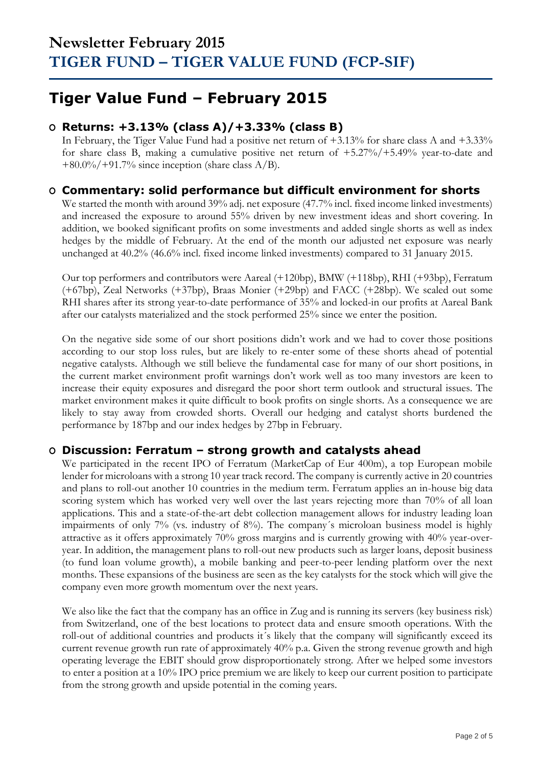## **Tiger Value Fund – February 2015**

### **O Returns: +3.13% (class A)/+3.33% (class B)**

In February, the Tiger Value Fund had a positive net return of +3.13% for share class A and +3.33% for share class B, making a cumulative positive net return of  $+5.27\%/+5.49\%$  year-to-date and  $+80.0\%/+91.7\%$  since inception (share class A/B).

### **O Commentary: solid performance but difficult environment for shorts**

We started the month with around 39% adj. net exposure (47.7% incl. fixed income linked investments) and increased the exposure to around 55% driven by new investment ideas and short covering. In addition, we booked significant profits on some investments and added single shorts as well as index hedges by the middle of February. At the end of the month our adjusted net exposure was nearly unchanged at 40.2% (46.6% incl. fixed income linked investments) compared to 31 January 2015.

Our top performers and contributors were Aareal (+120bp), BMW (+118bp), RHI (+93bp), Ferratum (+67bp), Zeal Networks (+37bp), Braas Monier (+29bp) and FACC (+28bp). We scaled out some RHI shares after its strong year-to-date performance of 35% and locked-in our profits at Aareal Bank after our catalysts materialized and the stock performed 25% since we enter the position.

On the negative side some of our short positions didn't work and we had to cover those positions according to our stop loss rules, but are likely to re-enter some of these shorts ahead of potential negative catalysts. Although we still believe the fundamental case for many of our short positions, in the current market environment profit warnings don't work well as too many investors are keen to increase their equity exposures and disregard the poor short term outlook and structural issues. The market environment makes it quite difficult to book profits on single shorts. As a consequence we are likely to stay away from crowded shorts. Overall our hedging and catalyst shorts burdened the performance by 187bp and our index hedges by 27bp in February.

#### **O Discussion: Ferratum – strong growth and catalysts ahead**

We participated in the recent IPO of Ferratum (MarketCap of Eur 400m), a top European mobile lender for microloans with a strong 10 year track record. The company is currently active in 20 countries and plans to roll-out another 10 countries in the medium term. Ferratum applies an in-house big data scoring system which has worked very well over the last years rejecting more than 70% of all loan applications. This and a state-of-the-art debt collection management allows for industry leading loan impairments of only 7% (vs. industry of 8%). The company´s microloan business model is highly attractive as it offers approximately 70% gross margins and is currently growing with 40% year-overyear. In addition, the management plans to roll-out new products such as larger loans, deposit business (to fund loan volume growth), a mobile banking and peer-to-peer lending platform over the next months. These expansions of the business are seen as the key catalysts for the stock which will give the company even more growth momentum over the next years.

We also like the fact that the company has an office in Zug and is running its servers (key business risk) from Switzerland, one of the best locations to protect data and ensure smooth operations. With the roll-out of additional countries and products it´s likely that the company will significantly exceed its current revenue growth run rate of approximately 40% p.a. Given the strong revenue growth and high operating leverage the EBIT should grow disproportionately strong. After we helped some investors to enter a position at a 10% IPO price premium we are likely to keep our current position to participate from the strong growth and upside potential in the coming years.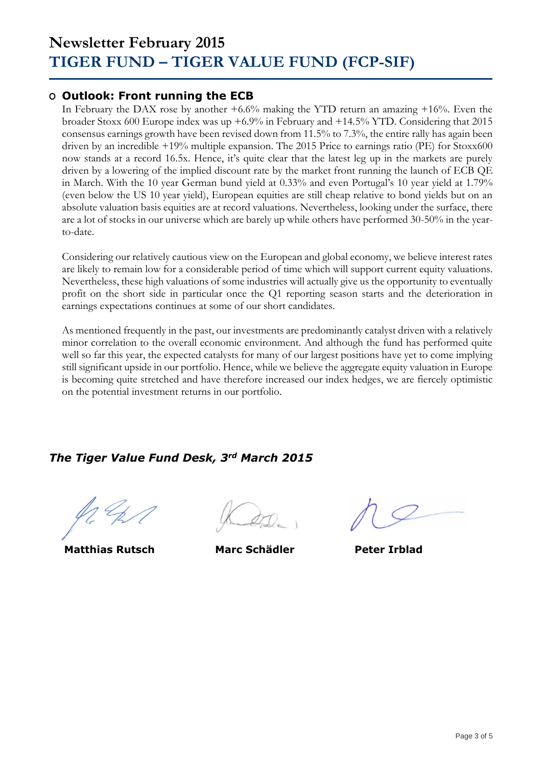### **O Outlook: Front running the ECB**

In February the DAX rose by another +6.6% making the YTD return an amazing +16%. Even the broader Stoxx 600 Europe index was up +6.9% in February and +14.5% YTD. Considering that 2015 consensus earnings growth have been revised down from 11.5% to 7.3%, the entire rally has again been driven by an incredible +19% multiple expansion. The 2015 Price to earnings ratio (PE) for Stoxx600 now stands at a record 16.5x. Hence, it's quite clear that the latest leg up in the markets are purely driven by a lowering of the implied discount rate by the market front running the launch of ECB QE in March. With the 10 year German bund yield at 0.33% and even Portugal's 10 year yield at 1.79% (even below the US 10 year yield), European equities are still cheap relative to bond yields but on an absolute valuation basis equities are at record valuations. Nevertheless, looking under the surface, there are a lot of stocks in our universe which are barely up while others have performed 30-50% in the yearto-date.

Considering our relatively cautious view on the European and global economy, we believe interest rates are likely to remain low for a considerable period of time which will support current equity valuations. Nevertheless, these high valuations of some industries will actually give us the opportunity to eventually profit on the short side in particular once the Q1 reporting season starts and the deterioration in earnings expectations continues at some of our short candidates.

As mentioned frequently in the past, our investments are predominantly catalyst driven with a relatively minor correlation to the overall economic environment. And although the fund has performed quite well so far this year, the expected catalysts for many of our largest positions have yet to come implying still significant upside in our portfolio. Hence, while we believe the aggregate equity valuation in Europe is becoming quite stretched and have therefore increased our index hedges, we are fiercely optimistic on the potential investment returns in our portfolio.

### *The Tiger Value Fund Desk, 3rd March 2015*

**Matthias Rutsch Marc Schädler Peter Irblad**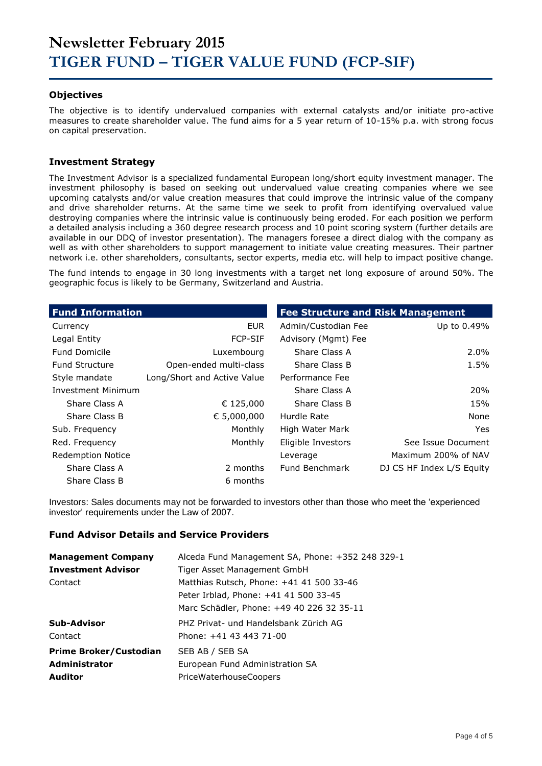#### **Objectives**

The objective is to identify undervalued companies with external catalysts and/or initiate pro-active measures to create shareholder value. The fund aims for a 5 year return of 10-15% p.a. with strong focus on capital preservation.

#### **Investment Strategy**

The Investment Advisor is a specialized fundamental European long/short equity investment manager. The investment philosophy is based on seeking out undervalued value creating companies where we see upcoming catalysts and/or value creation measures that could improve the intrinsic value of the company and drive shareholder returns. At the same time we seek to profit from identifying overvalued value destroying companies where the intrinsic value is continuously being eroded. For each position we perform a detailed analysis including a 360 degree research process and 10 point scoring system (further details are available in our DDQ of investor presentation). The managers foresee a direct dialog with the company as well as with other shareholders to support management to initiate value creating measures. Their partner network i.e. other shareholders, consultants, sector experts, media etc. will help to impact positive change.

The fund intends to engage in 30 long investments with a target net long exposure of around 50%. The geographic focus is likely to be Germany, Switzerland and Austria.

| <b>Fund Information</b>   |                             | <b>Fee Structure and Risk Management</b> |                           |
|---------------------------|-----------------------------|------------------------------------------|---------------------------|
| Currency                  | <b>EUR</b>                  | Admin/Custodian Fee                      | Up to 0.49%               |
| Legal Entity              | <b>FCP-SIF</b>              | Advisory (Mgmt) Fee                      |                           |
| <b>Fund Domicile</b>      | Luxembourg                  | Share Class A                            | $2.0\%$                   |
| <b>Fund Structure</b>     | Open-ended multi-class      | Share Class B                            | 1.5%                      |
| Style mandate             | Long/Short and Active Value | Performance Fee                          |                           |
| <b>Investment Minimum</b> |                             | Share Class A                            | 20%                       |
| Share Class A             | € 125,000                   | Share Class B                            | 15%                       |
| Share Class B             | € 5,000,000                 | Hurdle Rate                              | None                      |
| Sub. Frequency            | Monthly                     | High Water Mark                          | Yes.                      |
| Red. Frequency            | Monthly                     | Eligible Investors                       | See Issue Document        |
| <b>Redemption Notice</b>  |                             | Leverage                                 | Maximum 200% of NAV       |
| Share Class A             | 2 months                    | Fund Benchmark                           | DJ CS HF Index L/S Equity |
| Share Class B             | 6 months                    |                                          |                           |

Investors: Sales documents may not be forwarded to investors other than those who meet the 'experienced investor' requirements under the Law of 2007.

#### **Fund Advisor Details and Service Providers**

| <b>Management Company</b>     | Alceda Fund Management SA, Phone: +352 248 329-1 |
|-------------------------------|--------------------------------------------------|
| <b>Investment Advisor</b>     | Tiger Asset Management GmbH                      |
| Contact                       | Matthias Rutsch, Phone: +41 41 500 33-46         |
|                               | Peter Irblad, Phone: +41 41 500 33-45            |
|                               | Marc Schädler, Phone: +49 40 226 32 35-11        |
| Sub-Advisor                   | PHZ Privat- und Handelsbank Zürich AG            |
| Contact                       | Phone: +41 43 443 71-00                          |
| <b>Prime Broker/Custodian</b> | SEB AB / SEB SA                                  |
| Administrator                 | European Fund Administration SA                  |
| <b>Auditor</b>                | <b>PriceWaterhouseCoopers</b>                    |